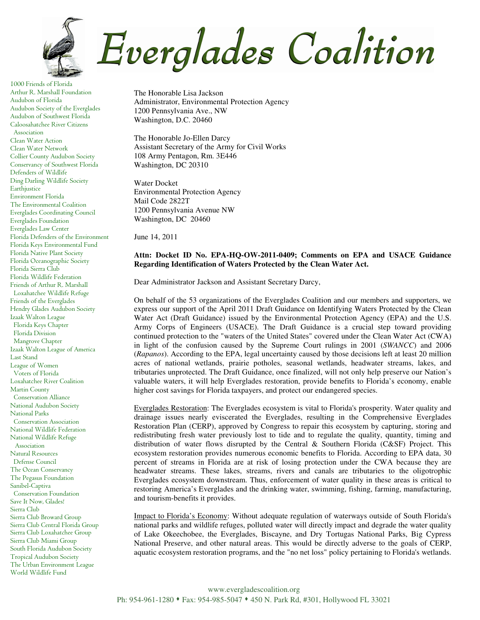

1000 Friends of Florida Arthur R. Marshall Foundation Audubon of Florida Audubon Society of the Everglades Audubon of Southwest Florida Caloosahatchee River Citizens Association Clean Water Action Clean Water Network Collier County Audubon Society Conservancy of Southwest Florida Defenders of Wildlife Ding Darling Wildlife Society Earthjustice Environment Florida The Environmental Coalition Everglades Coordinating Council Everglades Foundation Everglades Law Center Florida Defenders of the Environment Florida Keys Environmental Fund Florida Native Plant Society Florida Oceanographic Society Florida Sierra Club Florida Wildlife Federation Friends of Arthur R. Marshall Loxahatchee Wildlife Refuge Friends of the Everglades Hendry Glades Audubon Society Izaak Walton League Florida Keys Chapter Florida Division Mangrove Chapter Izaak Walton League of America Last Stand League of Women Voters of Florida Loxahatchee River Coalition Martin County Conservation Alliance National Audubon Society National Parks Conservation Association National Wildlife Federation National Wildlife Refuge Association Natural Resources Defense Council The Ocean Conservancy The Pegasus Foundation Sanibel-Captiva Conservation Foundation Save It Now, Glades! Sierra Club Sierra Club Broward Group Sierra Club Central Florida Group Sierra Club Loxahatchee Group Sierra Club Miami Group South Florida Audubon Society Tropical Audubon Society The Urban Environment League World Wildlife Fund

The Honorable Lisa Jackson Administrator, Environmental Protection Agency 1200 Pennsylvania Ave., NW Washington, D.C. 20460

The Honorable Jo-Ellen Darcy Assistant Secretary of the Army for Civil Works 108 Army Pentagon, Rm. 3E446 Washington, DC 20310

Water Docket Environmental Protection Agency Mail Code 2822T 1200 Pennsylvania Avenue NW Washington, DC 20460

June 14, 2011

## **Attn: Docket ID No. EPA-HQ-OW-2011-0409; Comments on EPA and USACE Guidance Regarding Identification of Waters Protected by the Clean Water Act.**

Dear Administrator Jackson and Assistant Secretary Darcy,

On behalf of the 53 organizations of the Everglades Coalition and our members and supporters, we express our support of the April 2011 Draft Guidance on Identifying Waters Protected by the Clean Water Act (Draft Guidance) issued by the Environmental Protection Agency (EPA) and the U.S. Army Corps of Engineers (USACE). The Draft Guidance is a crucial step toward providing continued protection to the "waters of the United States" covered under the Clean Water Act (CWA) in light of the confusion caused by the Supreme Court rulings in 2001 (*SWANCC*) and 2006 (*Rapanos*). According to the EPA, legal uncertainty caused by those decisions left at least 20 million acres of national wetlands, prairie potholes, seasonal wetlands, headwater streams, lakes, and tributaries unprotected. The Draft Guidance, once finalized, will not only help preserve our Nation's valuable waters, it will help Everglades restoration, provide benefits to Florida's economy, enable higher cost savings for Florida taxpayers, and protect our endangered species.

Everglades Restoration: The Everglades ecosystem is vital to Florida's prosperity. Water quality and drainage issues nearly eviscerated the Everglades, resulting in the Comprehensive Everglades Restoration Plan (CERP), approved by Congress to repair this ecosystem by capturing, storing and redistributing fresh water previously lost to tide and to regulate the quality, quantity, timing and distribution of water flows disrupted by the Central & Southern Florida (C&SF) Project. This ecosystem restoration provides numerous economic benefits to Florida. According to EPA data, 30 percent of streams in Florida are at risk of losing protection under the CWA because they are headwater streams. These lakes, streams, rivers and canals are tributaries to the oligotrophic Everglades ecosystem downstream. Thus, enforcement of water quality in these areas is critical to restoring America's Everglades and the drinking water, swimming, fishing, farming, manufacturing, and tourism-benefits it provides.

Impact to Florida's Economy: Without adequate regulation of waterways outside of South Florida's national parks and wildlife refuges, polluted water will directly impact and degrade the water quality of Lake Okeechobee, the Everglades, Biscayne, and Dry Tortugas National Parks, Big Cypress National Preserve, and other natural areas. This would be directly adverse to the goals of CERP, aquatic ecosystem restoration programs, and the "no net loss" policy pertaining to Florida's wetlands.